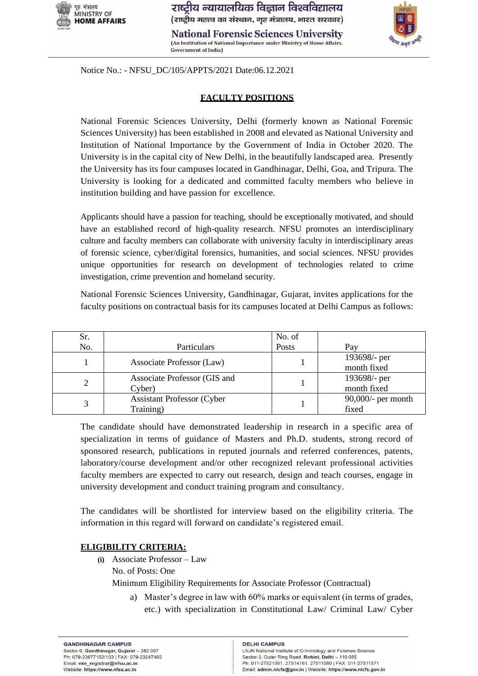

(An Institution of National Importance under Ministry of Home Affairs,

Notice No.: - NFSU\_DC/105/APPTS/2021 Date:06.12.2021

**Government of India**)

# **FACULTY POSITIONS**

National Forensic Sciences University, Delhi (formerly known as National Forensic Sciences University) has been established in 2008 and elevated as National University and Institution of National Importance by the Government of India in October 2020. The University is in the capital city of New Delhi, in the beautifully landscaped area. Presently the University has its four campuses located in Gandhinagar, Delhi, Goa, and Tripura. The University is looking for a dedicated and committed faculty members who believe in institution building and have passion for excellence.

Applicants should have a passion for teaching, should be exceptionally motivated, and should have an established record of high-quality research. NFSU promotes an interdisciplinary culture and faculty members can collaborate with university faculty in interdisciplinary areas of forensic science, cyber/digital forensics, humanities, and social sciences. NFSU provides unique opportunities for research on development of technologies related to crime investigation, crime prevention and homeland security.

National Forensic Sciences University, Gandhinagar, Gujarat, invites applications for the faculty positions on contractual basis for its campuses located at Delhi Campus as follows:

| Sr. |                                    | No. of |                       |
|-----|------------------------------------|--------|-----------------------|
| No. | Particulars                        | Posts  | Pav                   |
|     | Associate Professor (Law)          |        | 193698/- per          |
|     |                                    |        | month fixed           |
| 2   | Associate Professor (GIS and       |        | 193698/- per          |
|     | Cyber)                             |        | month fixed           |
|     | <b>Assistant Professor (Cyber)</b> |        | $90,000/$ - per month |
|     | Training)                          |        | fixed                 |

The candidate should have demonstrated leadership in research in a specific area of specialization in terms of guidance of Masters and Ph.D. students, strong record of sponsored research, publications in reputed journals and referred conferences, patents, laboratory/course development and/or other recognized relevant professional activities faculty members are expected to carry out research, design and teach courses, engage in university development and conduct training program and consultancy.

The candidates will be shortlisted for interview based on the eligibility criteria. The information in this regard will forward on candidate's registered email.

# **ELIGIBILITY CRITERIA:**

**(i)** Associate Professor – Law No. of Posts: One

Minimum Eligibility Requirements for Associate Professor (Contractual)

a) Master's degree in law with 60% marks or equivalent (in terms of grades, etc.) with specialization in Constitutional Law/ Criminal Law/ Cyber

#### **DELHI CAMPUS**

LNJN National Institute of Criminology and Forensic Science Sector-3, Outer Ring Road, Rohini, Delhi - 110 085 Ph: 011-27521091, 27514161, 27511580 | FAX: 011-27511571 Email: admin.nicfs@gov.in | Website: https://www.nicfs.gov.in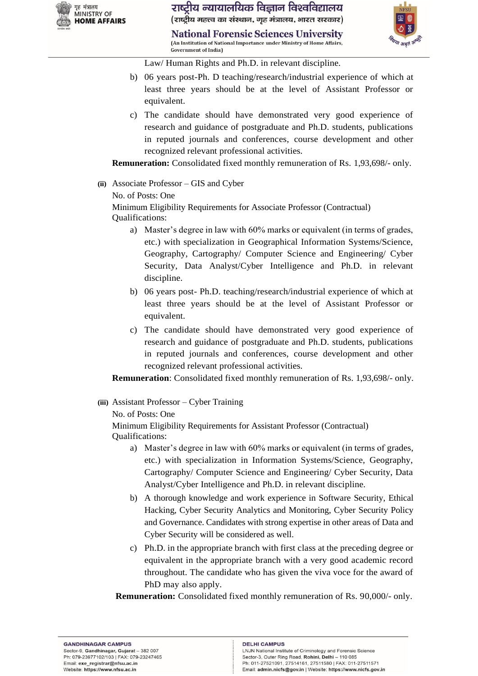

**National Forensic Sciences University** (An Institution of National Importance under Ministry of Home Affairs, **Government of Indial** 



Law/ Human Rights and Ph.D. in relevant discipline.

- b) 06 years post-Ph. D teaching/research/industrial experience of which at least three years should be at the level of Assistant Professor or equivalent.
- c) The candidate should have demonstrated very good experience of research and guidance of postgraduate and Ph.D. students, publications in reputed journals and conferences, course development and other recognized relevant professional activities.

**Remuneration:** Consolidated fixed monthly remuneration of Rs. 1,93,698/- only.

**(ii)** Associate Professor – GIS and Cyber

No. of Posts: One

Minimum Eligibility Requirements for Associate Professor (Contractual) Qualifications:

- a) Master's degree in law with 60% marks or equivalent (in terms of grades, etc.) with specialization in Geographical Information Systems/Science, Geography, Cartography/ Computer Science and Engineering/ Cyber Security, Data Analyst/Cyber Intelligence and Ph.D. in relevant discipline.
- b) 06 years post- Ph.D. teaching/research/industrial experience of which at least three years should be at the level of Assistant Professor or equivalent.
- c) The candidate should have demonstrated very good experience of research and guidance of postgraduate and Ph.D. students, publications in reputed journals and conferences, course development and other recognized relevant professional activities.

**Remuneration**: Consolidated fixed monthly remuneration of Rs. 1,93,698/- only.

**(iii)** Assistant Professor – Cyber Training

No. of Posts: One

Minimum Eligibility Requirements for Assistant Professor (Contractual) Qualifications:

- a) Master's degree in law with 60% marks or equivalent (in terms of grades, etc.) with specialization in Information Systems/Science, Geography, Cartography/ Computer Science and Engineering/ Cyber Security, Data Analyst/Cyber Intelligence and Ph.D. in relevant discipline.
- b) A thorough knowledge and work experience in Software Security, Ethical Hacking, Cyber Security Analytics and Monitoring, Cyber Security Policy and Governance. Candidates with strong expertise in other areas of Data and Cyber Security will be considered as well.
- c) Ph.D. in the appropriate branch with first class at the preceding degree or equivalent in the appropriate branch with a very good academic record throughout. The candidate who has given the viva voce for the award of PhD may also apply.

**Remuneration:** Consolidated fixed monthly remuneration of Rs. 90,000/- only.